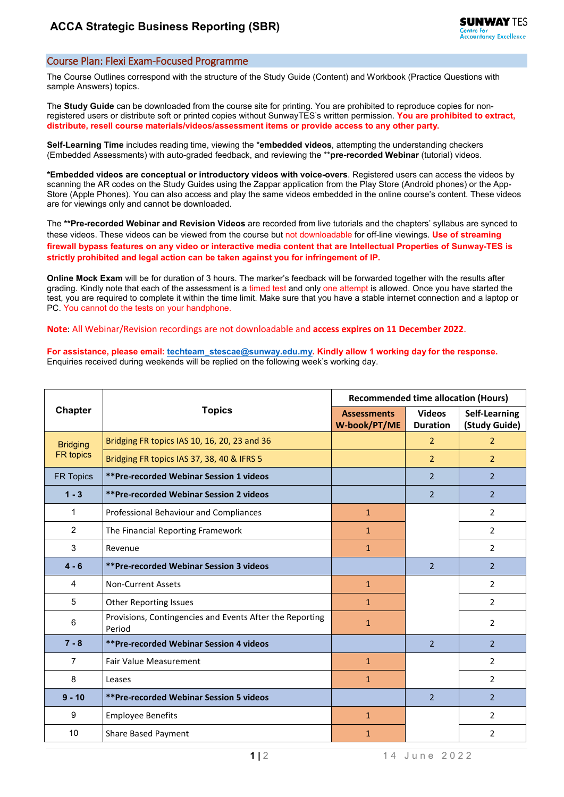## Course Plan: Flexi Exam-Focused Programme

The Course Outlines correspond with the structure of the Study Guide (Content) and Workbook (Practice Questions with sample Answers) topics.

The **Study Guide** can be downloaded from the course site for printing. You are prohibited to reproduce copies for nonregistered users or distribute soft or printed copies without SunwayTES's written permission. **You are prohibited to extract, distribute, resell course materials/videos/assessment items or provide access to any other party.**

**Self-Learning Time** includes reading time, viewing the \***embedded videos**, attempting the understanding checkers (Embedded Assessments) with auto-graded feedback, and reviewing the \*\***pre-recorded Webinar** (tutorial) videos.

**\*Embedded videos are conceptual or introductory videos with voice-overs**. Registered users can access the videos by scanning the AR codes on the Study Guides using the Zappar application from the Play Store (Android phones) or the App-Store (Apple Phones). You can also access and play the same videos embedded in the online course's content. These videos are for viewings only and cannot be downloaded.

The **\*\*Pre-recorded Webinar and Revision Videos** are recorded from live tutorials and the chapters' syllabus are synced to these videos. These videos can be viewed from the course but not downloadable for off-line viewings. **Use of streaming firewall bypass features on any video or interactive media content that are Intellectual Properties of Sunway-TES is strictly prohibited and legal action can be taken against you for infringement of IP.**

**Online Mock Exam** will be for duration of 3 hours. The marker's feedback will be forwarded together with the results after grading. Kindly note that each of the assessment is a timed test and only one attempt is allowed. Once you have started the test, you are required to complete it within the time limit. Make sure that you have a stable internet connection and a laptop or PC. You cannot do the tests on your handphone.

**Note**: All Webinar/Revision recordings are not downloadable and **access expires on 11 December 2022**.

**For assistance, please email[: techteam\\_stescae@sunway.edu.my.](mailto:techteam_stescae@sunway.edu.my) Kindly allow 1 working day for the response.**  Enquiries received during weekends will be replied on the following week's working day.

| <b>Chapter</b>                      | <b>Topics</b>                                                      | <b>Recommended time allocation (Hours)</b> |                                  |                                |
|-------------------------------------|--------------------------------------------------------------------|--------------------------------------------|----------------------------------|--------------------------------|
|                                     |                                                                    | <b>Assessments</b><br>W-book/PT/ME         | <b>Videos</b><br><b>Duration</b> | Self-Learning<br>(Study Guide) |
| <b>Bridging</b><br><b>FR</b> topics | Bridging FR topics IAS 10, 16, 20, 23 and 36                       |                                            | $\overline{2}$                   | $\overline{2}$                 |
|                                     | Bridging FR topics IAS 37, 38, 40 & IFRS 5                         |                                            | $\overline{2}$                   | $\overline{2}$                 |
| FR Topics                           | **Pre-recorded Webinar Session 1 videos                            |                                            | $\overline{2}$                   | $\overline{2}$                 |
| $1 - 3$                             | **Pre-recorded Webinar Session 2 videos                            |                                            | $\overline{2}$                   | $\overline{2}$                 |
| 1                                   | Professional Behaviour and Compliances                             | $\mathbf{1}$                               |                                  | $\overline{2}$                 |
| 2                                   | The Financial Reporting Framework                                  | $\mathbf{1}$                               |                                  | $\overline{2}$                 |
| 3                                   | Revenue                                                            | $\mathbf{1}$                               |                                  | $\overline{2}$                 |
| $4 - 6$                             | <b>**Pre-recorded Webinar Session 3 videos</b>                     |                                            | $\overline{\phantom{a}}$         | $\mathcal{P}$                  |
| 4                                   | <b>Non-Current Assets</b>                                          | $\mathbf{1}$                               |                                  | $\overline{2}$                 |
| 5                                   | <b>Other Reporting Issues</b>                                      | $\mathbf{1}$                               |                                  | $\overline{2}$                 |
| 6                                   | Provisions, Contingencies and Events After the Reporting<br>Period | $\mathbf{1}$                               |                                  | $\overline{2}$                 |
| $7 - 8$                             | **Pre-recorded Webinar Session 4 videos                            |                                            | $\overline{2}$                   | $\overline{2}$                 |
| $\overline{7}$                      | <b>Fair Value Measurement</b>                                      | $\mathbf{1}$                               |                                  | $\overline{2}$                 |
| 8                                   | Leases                                                             | $\mathbf{1}$                               |                                  | $\overline{2}$                 |
| $9 - 10$                            | <b>**Pre-recorded Webinar Session 5 videos</b>                     |                                            | $\overline{2}$                   | $\overline{2}$                 |
| 9                                   | <b>Employee Benefits</b>                                           | $\mathbf{1}$                               |                                  | $\overline{2}$                 |
| 10                                  | <b>Share Based Payment</b>                                         | $\mathbf{1}$                               |                                  | $\overline{2}$                 |